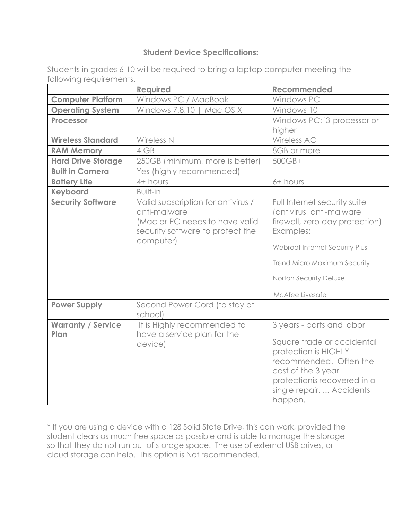## **Student Device Specifications:**

| 9 ii 9 ii 9 ii 9 guun 9 in 19 in  |                                                                                                                                       |                                                                                                                                                                                                                         |
|-----------------------------------|---------------------------------------------------------------------------------------------------------------------------------------|-------------------------------------------------------------------------------------------------------------------------------------------------------------------------------------------------------------------------|
|                                   | <b>Required</b>                                                                                                                       | Recommended                                                                                                                                                                                                             |
| <b>Computer Platform</b>          | Windows PC / MacBook                                                                                                                  | Windows PC                                                                                                                                                                                                              |
| <b>Operating System</b>           | Windows 7,8,10   Mac OS X                                                                                                             | Windows 10                                                                                                                                                                                                              |
| <b>Processor</b>                  |                                                                                                                                       | Windows PC: i3 processor or                                                                                                                                                                                             |
|                                   |                                                                                                                                       | higher                                                                                                                                                                                                                  |
| <b>Wireless Standard</b>          | Wireless N                                                                                                                            | Wireless AC                                                                                                                                                                                                             |
| <b>RAM Memory</b>                 | 4 GB                                                                                                                                  | 8GB or more                                                                                                                                                                                                             |
| <b>Hard Drive Storage</b>         | 250GB (minimum, more is better)                                                                                                       | 500GB+                                                                                                                                                                                                                  |
| <b>Built in Camera</b>            | Yes (highly recommended)                                                                                                              |                                                                                                                                                                                                                         |
| <b>Battery Life</b>               | 4+ hours                                                                                                                              | 6+ hours                                                                                                                                                                                                                |
| <b>Keyboard</b>                   | Built-in                                                                                                                              |                                                                                                                                                                                                                         |
| <b>Security Software</b>          | Valid subscription for antivirus /<br>anti-malware<br>(Mac or PC needs to have valid<br>security software to protect the<br>computer) | Full Internet security suite<br>(antivirus, anti-malware,<br>firewall, zero day protection)<br>Examples:<br>Webroot Internet Security Plus<br>Trend Micro Maximum Security<br>Norton Security Deluxe<br>McAfee Livesafe |
| <b>Power Supply</b>               | Second Power Cord (to stay at<br>school)                                                                                              |                                                                                                                                                                                                                         |
| <b>Warranty / Service</b><br>Plan | It is Highly recommended to<br>have a service plan for the<br>device)                                                                 | 3 years - parts and labor<br>Square trade or accidental<br>protection is HIGHLY<br>recommended. Often the<br>cost of the 3 year<br>protectionis recovered in a<br>single repair.  Accidents<br>happen.                  |

Students in grades 6-10 will be required to bring a laptop computer meeting the following requirements.

\* If you are using a device with a 128 Solid State Drive, this can work, provided the student clears as much free space as possible and is able to manage the storage so that they do not run out of storage space. The use of external USB drives, or cloud storage can help. This option is Not recommended.